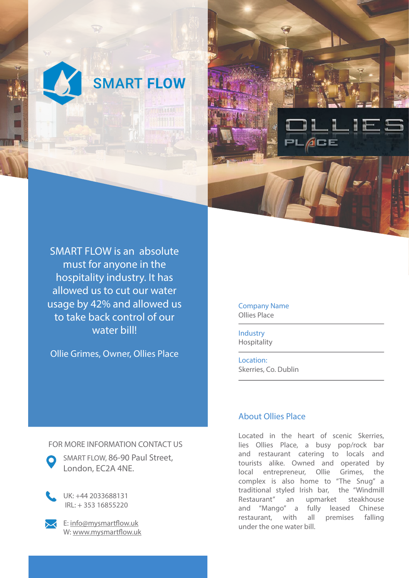



SMART FLOW is an absolute must for anyone in the hospitality industry. It has allowed us to cut our water usage by 42% and allowed us to take back control of our water bill!

Ollie Grimes, Owner, Ollies Place

Company Name Ollies Place

Industry Hospitality

Location: Skerries, Co. Dublin

## About Ollies Place

Located in the heart of scenic Skerries, lies Ollies Place, a busy pop/rock bar and restaurant catering to locals and tourists alike. Owned and operated by local entrepreneur, Ollie Grimes, the complex is also home to "The Snug" a traditional styled Irish bar, the "Windmill Restaurant" an upmarket steakhouse and "Mango" a fully leased Chinese restaurant, with all premises falling under the one water bill.

## FOR MORE INFORMATION CONTACT US



UK: +44 2033688131 IRL: + 353 16855220



E: info@mysmartflow.uk W: www.mysmartflow.uk